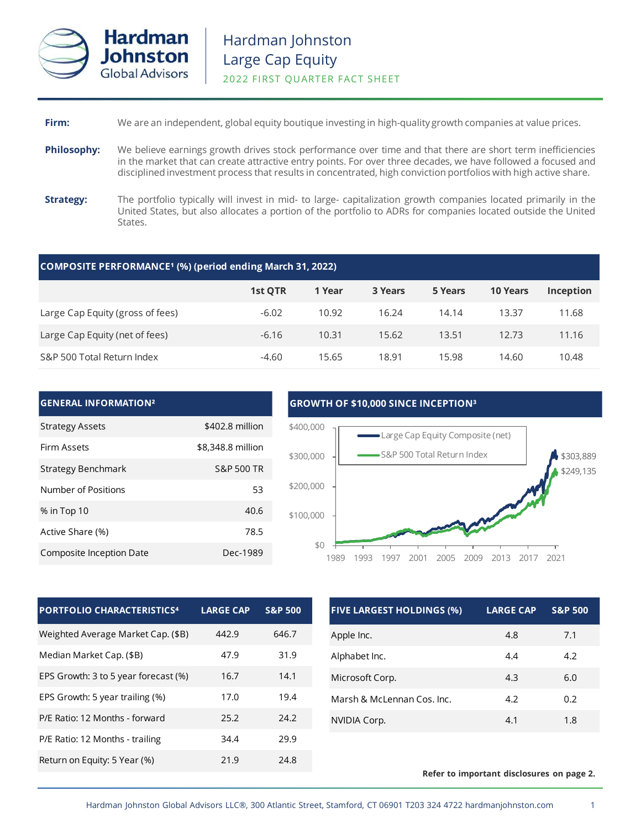

## **Firm:** We are an independent, global equity boutique investing in high-quality growth companies at value prices.

- **Philosophy:** We believe earnings growth drives stock performance over time and that there are short term inefficiencies in the market that can create attractive entry points. For over three decades, we have followed a focused and disciplined investment process that results in concentrated, high conviction portfolios with high active share.
- **Strategy:** The portfolio typically will invest in mid- to large- capitalization growth companies located primarily in the United States, but also allocates a portion of the portfolio to ADRs for companies located outside the United States.

### **COMPOSITE PERFORMANCE¹ (%) (period ending March 31, 2022)**

|                                  | <b>1st QTR</b> | 1 Year | 3 Years | 5 Years | <b>10 Years</b> | Inception |
|----------------------------------|----------------|--------|---------|---------|-----------------|-----------|
| Large Cap Equity (gross of fees) | $-6.02$        | 10.92  | 16.24   | 14.14   | 13.37           | 11.68     |
| Large Cap Equity (net of fees)   | $-6.16$        | 10.31  | 15.62   | 13.51   | 12.73           | 11.16     |
| S&P 500 Total Return Index       | $-4.60$        | 15.65  | 18.91   | 15.98   | 14.60           | 10.48     |

| <b>GENERAL INFORMATION<sup>2</sup></b> |                       |
|----------------------------------------|-----------------------|
| <b>Strategy Assets</b>                 | \$402.8 million       |
| <b>Firm Assets</b>                     | \$8,348.8 million     |
| Strategy Benchmark                     | <b>S&amp;P 500 TR</b> |
| Number of Positions                    | 53                    |
| % in Top 10                            | 40.6                  |
| Active Share (%)                       | 78.5                  |
| Composite Inception Date               | Dec-1989              |

### **GROWTH OF \$10,000 SINCE INCEPTION³**



| <b>PORTFOLIO CHARACTERISTICS4</b>    | <b>LARGE CAP</b> | <b>S&amp;P 500</b> |
|--------------------------------------|------------------|--------------------|
| Weighted Average Market Cap. (\$B)   | 442.9            | 646.7              |
| Median Market Cap. (\$B)             | 47.9             | 31.9               |
| EPS Growth: 3 to 5 year forecast (%) | 16.7             | 14.1               |
| EPS Growth: 5 year trailing (%)      | 17.0             | 19.4               |
| P/E Ratio: 12 Months - forward       | 25.2             | 24.2               |
| P/E Ratio: 12 Months - trailing      | 34.4             | 29.9               |
| Return on Equity: 5 Year (%)         | 21.9             | 24.8               |

| <b>FIVE LARGEST HOLDINGS (%)</b> | <b>LARGE CAP</b> | <b>S&amp;P 500</b> |
|----------------------------------|------------------|--------------------|
| Apple Inc.                       | 4.8              | 7.1                |
| Alphabet Inc.                    | 4.4              | 4.2                |
| Microsoft Corp.                  | 4.3              | 6.0                |
| Marsh & McLennan Cos. Inc.       | 4.2              | 0.2                |
| NVIDIA Corp.                     | 4.1              | 1.8                |

### **Refer to important disclosures on page 2.**